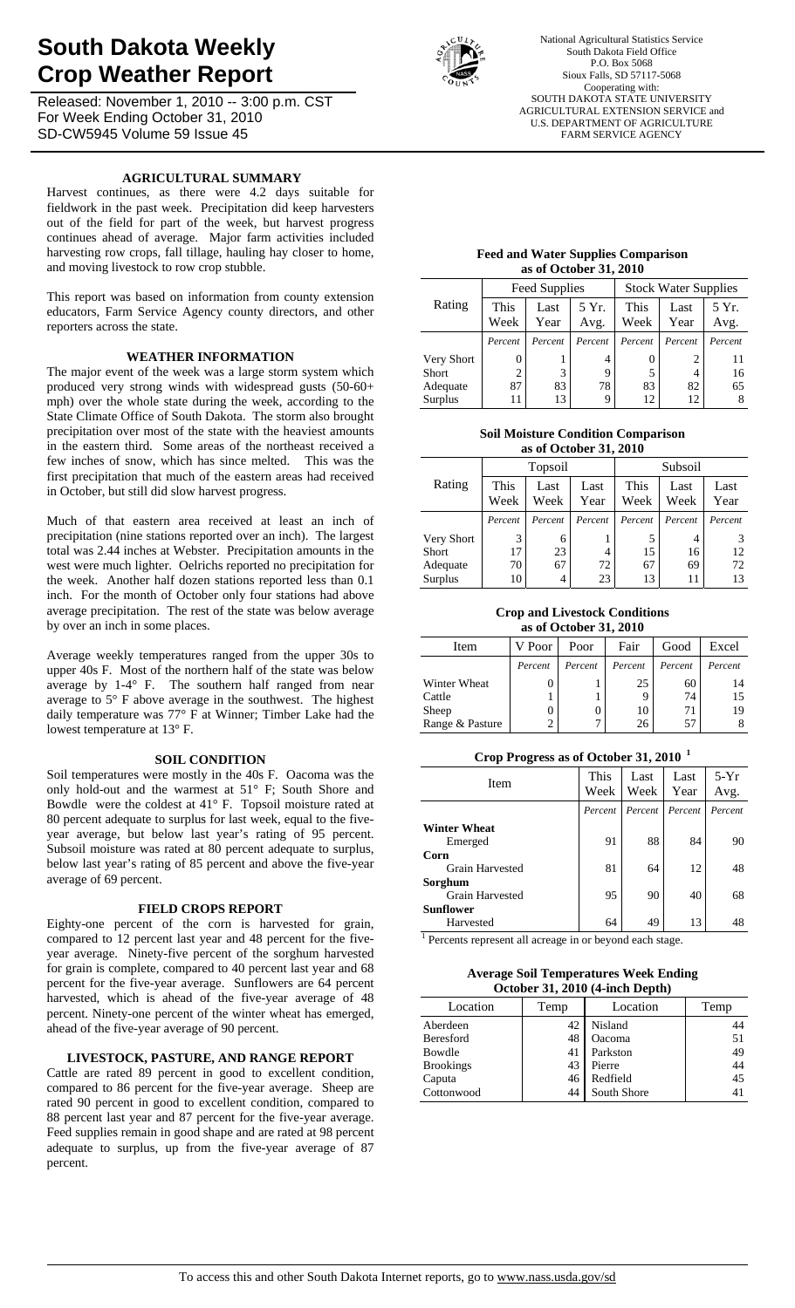# **South Dakota Weekly Crop Weather Report**

Released: November 1, 2010 -- 3:00 p.m. CST For Week Ending October 31, 2010 SD-CW5945 Volume 59 Issue 45



National Agricultural Statistics Service South Dakota Field Office P.O. Box 5068 Sioux Falls, SD 57117-5068 Cooperating with: SOUTH DAKOTA STATE UNIVERSITY AGRICULTURAL EXTENSION SERVICE and U.S. DEPARTMENT OF AGRICULTURE FARM SERVICE AGENCY

# **AGRICULTURAL SUMMARY**

Harvest continues, as there were 4.2 days suitable for fieldwork in the past week. Precipitation did keep harvesters out of the field for part of the week, but harvest progress continues ahead of average. Major farm activities included harvesting row crops, fall tillage, hauling hay closer to home, and moving livestock to row crop stubble.

This report was based on information from county extension educators, Farm Service Agency county directors, and other reporters across the state.

## **WEATHER INFORMATION**

The major event of the week was a large storm system which produced very strong winds with widespread gusts (50-60+ mph) over the whole state during the week, according to the State Climate Office of South Dakota. The storm also brought precipitation over most of the state with the heaviest amounts in the eastern third. Some areas of the northeast received a few inches of snow, which has since melted. This was the first precipitation that much of the eastern areas had received in October, but still did slow harvest progress.

Much of that eastern area received at least an inch of precipitation (nine stations reported over an inch). The largest total was 2.44 inches at Webster. Precipitation amounts in the west were much lighter. Oelrichs reported no precipitation for the week. Another half dozen stations reported less than 0.1 inch. For the month of October only four stations had above average precipitation. The rest of the state was below average by over an inch in some places.

Average weekly temperatures ranged from the upper 30s to upper 40s F. Most of the northern half of the state was below average by 1-4° F. The southern half ranged from near average to 5° F above average in the southwest. The highest daily temperature was 77° F at Winner; Timber Lake had the lowest temperature at 13° F.

## **SOIL CONDITION**

Soil temperatures were mostly in the 40s F. Oacoma was the only hold-out and the warmest at 51° F; South Shore and Bowdle were the coldest at 41° F. Topsoil moisture rated at 80 percent adequate to surplus for last week, equal to the fiveyear average, but below last year's rating of 95 percent. Subsoil moisture was rated at 80 percent adequate to surplus, below last year's rating of 85 percent and above the five-year average of 69 percent.

#### **FIELD CROPS REPORT**

Eighty-one percent of the corn is harvested for grain, compared to 12 percent last year and 48 percent for the fiveyear average. Ninety-five percent of the sorghum harvested for grain is complete, compared to 40 percent last year and 68 percent for the five-year average. Sunflowers are 64 percent harvested, which is ahead of the five-year average of 48 percent. Ninety-one percent of the winter wheat has emerged, ahead of the five-year average of 90 percent.

## **LIVESTOCK, PASTURE, AND RANGE REPORT**

Cattle are rated 89 percent in good to excellent condition, compared to 86 percent for the five-year average. Sheep are rated 90 percent in good to excellent condition, compared to 88 percent last year and 87 percent for the five-year average. Feed supplies remain in good shape and are rated at 98 percent adequate to surplus, up from the five-year average of 87 percent.

#### **Feed and Water Supplies Comparison as of October 31, 2010**

|              |                     | Feed Supplies |               | <b>Stock Water Supplies</b> |              |               |  |  |
|--------------|---------------------|---------------|---------------|-----------------------------|--------------|---------------|--|--|
| Rating       | <b>This</b><br>Week | Last<br>Year  | 5 Yr.<br>Avg. | This<br>Week                | Last<br>Year | 5 Yr.<br>Avg. |  |  |
|              | Percent             | Percent       | Percent       | Percent                     | Percent      | Percent       |  |  |
| Very Short   |                     |               | 4             | $\theta$                    | 2            | 11            |  |  |
| <b>Short</b> | $\overline{c}$      | 3             | 9             | 5                           |              | 16            |  |  |
| Adequate     | 87                  | 83            | 78            | 83                          | 82           | 65            |  |  |
| Surplus      | 11                  | 13            | 9             | 12                          | 12           |               |  |  |

#### **Soil Moisture Condition Comparison as of October 31, 2010**

| as of October 91, 2010 |              |                              |         |                              |         |              |  |  |  |
|------------------------|--------------|------------------------------|---------|------------------------------|---------|--------------|--|--|--|
|                        |              | Topsoil                      |         | Subsoil                      |         |              |  |  |  |
| Rating                 | This<br>Week | Last<br>Last<br>Week<br>Year |         | This<br>Last<br>Week<br>Week |         | Last<br>Year |  |  |  |
|                        | Percent      | Percent                      | Percent | Percent                      | Percent | Percent      |  |  |  |
| Very Short             | 3            | 6                            |         | 5                            |         |              |  |  |  |
| <b>Short</b>           | 17           | 23                           | 4       | 15                           | 16      | 12           |  |  |  |
| Adequate               | 70           | 67                           | 72      | 67                           | 69      | 72           |  |  |  |
| Surplus                | 10           | 4                            | 23      | 13                           |         | 13           |  |  |  |

#### **Crop and Livestock Conditions as of October 31, 2010**

| Item            | V Poor  | Poor    | Fair    | Good    | Excel   |
|-----------------|---------|---------|---------|---------|---------|
|                 | Percent | Percent | Percent | Percent | Percent |
| Winter Wheat    |         |         | 25      | 60      | 14      |
| Cattle          |         |         |         | 74      | 15      |
| Sheep           |         |         | 10      | 71      | 19      |
| Range & Pasture | 2       |         | 26      | 57      |         |

## **Crop Progress as of October 31, 2010 <sup>1</sup>**

| Item                                                  | This<br>Week | Last<br>Week | Last<br>Year | $5-Yr$<br>Avg. |
|-------------------------------------------------------|--------------|--------------|--------------|----------------|
|                                                       | Percent      | Percent      | Percent      | Percent        |
| <b>Winter Wheat</b><br>Emerged                        | 91           | 88           | 84           | 90             |
| Corn<br><b>Grain Harvested</b>                        | 81           | 64           | 12           | 48             |
| Sorghum<br><b>Grain Harvested</b><br><b>Sunflower</b> | 95           | 90           | 40           | 68             |
| Harvested                                             | 64           | 49           | 13           | 48             |

<sup>1</sup> Percents represent all acreage in or beyond each stage.

| <b>Average Soil Temperatures Week Ending</b> |
|----------------------------------------------|
| October 31, 2010 (4-inch Depth)              |

| Location         | Temp | Location    | Temp |  |  |  |  |  |
|------------------|------|-------------|------|--|--|--|--|--|
| Aberdeen         | 42   | Nisland     | 44   |  |  |  |  |  |
| Beresford        | 48   | Oacoma      | 51   |  |  |  |  |  |
| Bowdle           | 41   | Parkston    | 49   |  |  |  |  |  |
| <b>Brookings</b> | 43   | Pierre      | 44   |  |  |  |  |  |
| Caputa           | 46   | Redfield    | 45   |  |  |  |  |  |
| Cottonwood       | 44   | South Shore | 41   |  |  |  |  |  |